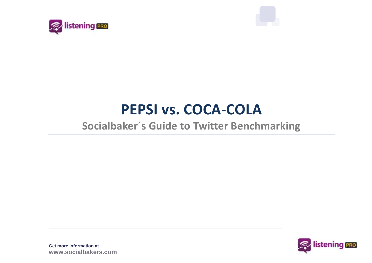



# **PEPSI vs. COCA-COLA**

## **Socialbaker´s Guide to Twitter Benchmarking**

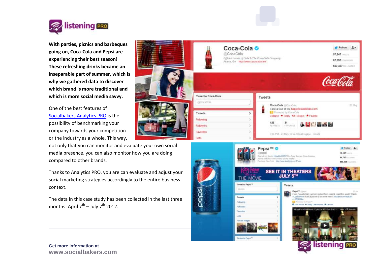

**With parties, picnics and barbeques going on, Coca-Cola and Pepsi are experiencing their best season! These refreshing drinks became an inseparable part of summer, which is why we gathered data to discover which brand is more traditional and which is more social media savvy.**

One of the best features of [Socialbakers Analytics PRO](http://analytics.socialbakers.com/?ref=www-top-bar&utm_source=socialbakers.com&utm_medium=top-bar) is the possibility of benchmarking your company towards your competition or the industry as a whole. This way,

not only that you can monitor and evaluate your own social media presence, you can also monitor how you are doing compared to other brands.

Thanks to Analytics PRO, you are can evaluate and adjust your social marketing strategies accordingly to the entire business context.

The data in this case study has been collected in the last three months: April  $7^{\text{th}}$  – July  $7^{\text{th}}$  2012.



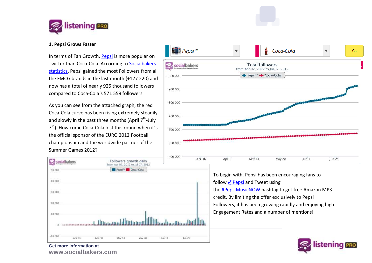

## **1. Pepsi Grows Faster**

In terms of Fan Growth, [Pepsi](http://www.socialbakers.com/twitter/pepsi) is more popular on Twitter than Coca-Cola. According to [Socialbakers](http://www.socialbakers.com/twitter/group/brands/tag/fmcg/page-1/)  [statistics,](http://www.socialbakers.com/twitter/group/brands/tag/fmcg/page-1/) Pepsi gained the most Followers from all the FMCG brands in the last month (+127 220) and now has a total of nearly 925 thousand followers compared to Coca-Cola´s 571 559 followers.

As you can see from the attached graph, the red Coca-Cola curve has been rising extremely steadily and slowly in the past three months (April  $7^{\text{th}}$ -July 7<sup>th</sup>). How come Coca-Cola lost this round when it's the official sponsor of the EURO 2012 Football championship and the worldwide partner of the Summer Games 2012?





To begin with, Pepsi has been encouraging fans to follo[w @Pepsi](http://topsy.com/twitter/pepsi) and Tweet using the [#PepsiMusicNOW](http://topsy.com/s?type=tweet&q=%23PepsiMusicNOW) hashtag to get free Amazon MP3 credit. By limiting the offer exclusively to Pepsi Followers, it has been growing rapidly and enjoying high Engagement Rates and a number of mentions!

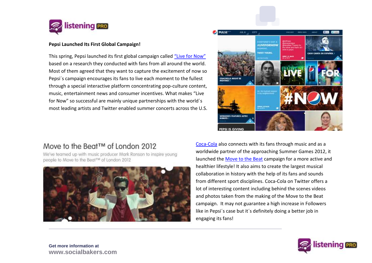

### **Pepsi Launched Its First Global Campaign!**

This spring, Pepsi launched its first global campaign called ["Live for Now"](http://www.pepsi.com/) based on a research they conducted with fans from all around the world. Most of them agreed that they want to capture the excitement of now so Pepsi´s campaign encourages its fans to live each moment to the fullest through a special interactive platform concentrating pop-culture content, music, entertainment news and consumer incentives. What makes "Live for Now" so successful are mainly unique partnerships with the world´s most leading artists and Twitter enabled summer concerts across the U.S.

## Move to the Beat™ of London 2012

We've teamed up with music producer Mark Ronson to inspire young people to Move to the Beat™ of London 2012





[Coca-Cola](http://www.socialbakers.com/facebook-pages/40796308305-coca-cola/?ref=article) also connects with its fans through music and as a worldwide partner of the approaching Summer Games 2012, it launched the [Move to the Beat](http://www.coca-cola.com/theolympics/en-DF) campaign for a more active and healthier lifestyle! It also aims to create the largest musical collaboration in history with the help of its fans and sounds from different sport disciplines. Coca-Cola on Twitter offers a lot of interesting content including behind the scenes videos and photos taken from the making of the Move to the Beat campaign. It may not guarantee a high increase in Followers like in Pepsi´s case but it´s definitely doing a better job in engaging its fans!

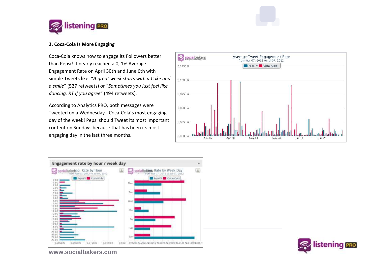

## **2. Coca-Cola Is More Engaging**

Coca-Cola knows how to engage its Followers better than Pepsi! It nearly reached a 0, 1% Average Engagement Rate on April 30th and June 6th with simple Tweets like: "*A great week starts with a Coke and a smile*" (527 retweets) or "*Sometimes you just feel like dancing. RT if you agree*" (494 retweets).

According to Analytics PRO, both messages were Tweeted on a Wednesday - Coca-Cola´s most engaging day of the week! Pepsi should Tweet its most important content on Sundays because that has been its most engaging day in the last three months.







**www.socialbakers.com**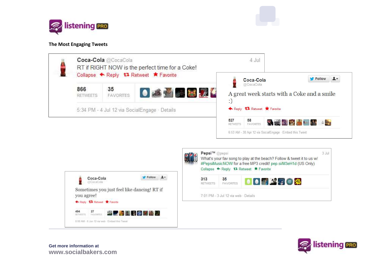

## **The Most Engaging Tweets**



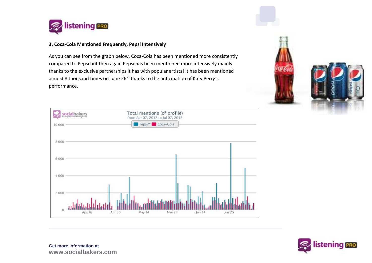

## **3. Coca-Cola Mentioned Frequently, Pepsi Intensively**

As you can see from the graph below, Coca-Cola has been mentioned more consistently compared to Pepsi but then again Pepsi has been mentioned more intensively mainly thanks to the exclusive partnerships it has with popular artists! It has been mentioned almost 8 thousand times on June  $26<sup>th</sup>$  thanks to the anticipation of Katy Perry's performance.







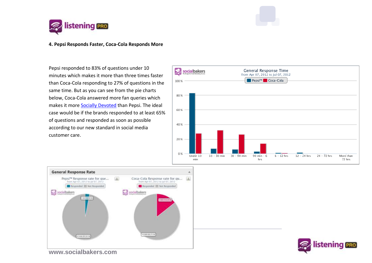

#### **4. Pepsi Responds Faster, Coca-Cola Responds More**

Pepsi responded to 83% of questions under 10 minutes which makes it more than three times faster than Coca-Cola responding to 27% of questions in the same time. But as you can see from the pie charts below, Coca-Cola answered more fan queries which makes it more [Socially Devoted](http://sociallydevoted.socialbakers.com/?ref=www-hp-main-banner&utm_source=socialbakers.com&utm_medium=banner&utm_campaign=main-homepage-banner) than Pepsi. The ideal case would be if the brands responded to at least 65% of questions and responded as soon as possible according to our new standard in social media customer care.







**www.socialbakers.com**